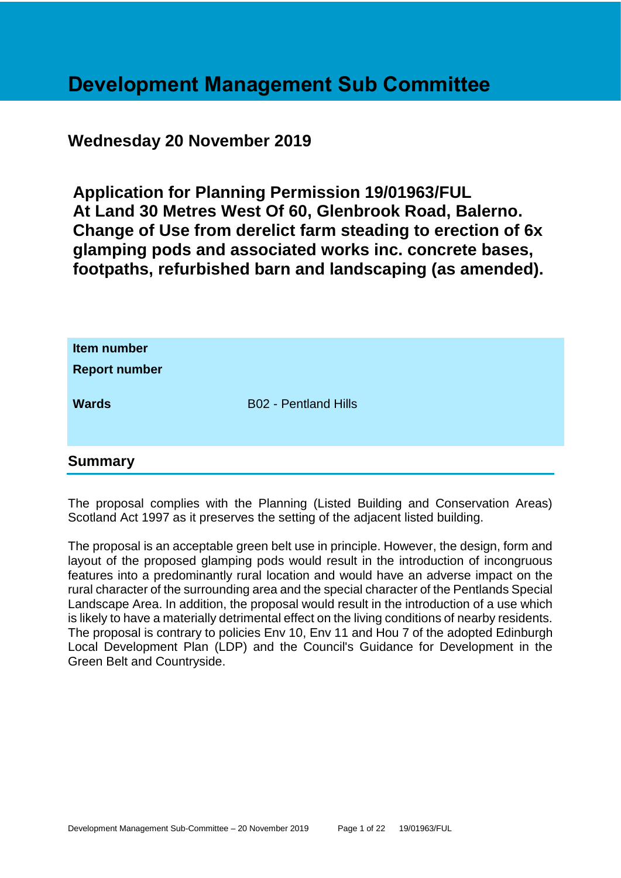# **Development Management Sub Committee**

# **Wednesday 20 November 2019**

**Application for Planning Permission 19/01963/FUL At Land 30 Metres West Of 60, Glenbrook Road, Balerno. Change of Use from derelict farm steading to erection of 6x glamping pods and associated works inc. concrete bases, footpaths, refurbished barn and landscaping (as amended).**

| Item number<br><b>Report number</b> |                             |
|-------------------------------------|-----------------------------|
| <b>Wards</b>                        | <b>B02 - Pentland Hills</b> |
| <b>Summary</b>                      |                             |

The proposal complies with the Planning (Listed Building and Conservation Areas) Scotland Act 1997 as it preserves the setting of the adjacent listed building.

The proposal is an acceptable green belt use in principle. However, the design, form and layout of the proposed glamping pods would result in the introduction of incongruous features into a predominantly rural location and would have an adverse impact on the rural character of the surrounding area and the special character of the Pentlands Special Landscape Area. In addition, the proposal would result in the introduction of a use which is likely to have a materially detrimental effect on the living conditions of nearby residents. The proposal is contrary to policies Env 10, Env 11 and Hou 7 of the adopted Edinburgh Local Development Plan (LDP) and the Council's Guidance for Development in the Green Belt and Countryside.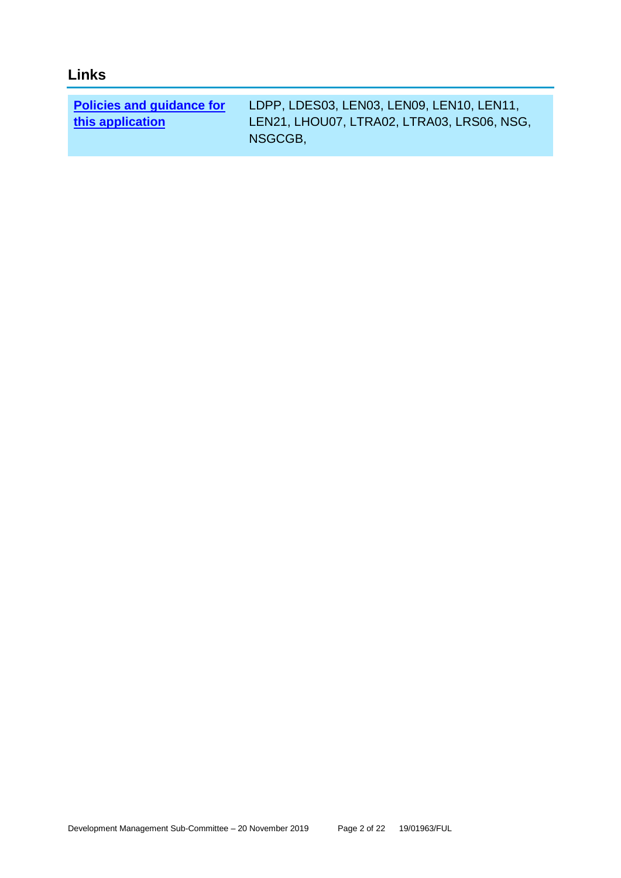| Links                            |                                            |
|----------------------------------|--------------------------------------------|
|                                  |                                            |
| <b>Policies and guidance for</b> | LDPP, LDES03, LEN03, LEN09, LEN10, LEN11,  |
| this application                 | LEN21, LHOU07, LTRA02, LTRA03, LRS06, NSG, |

NSGCGB,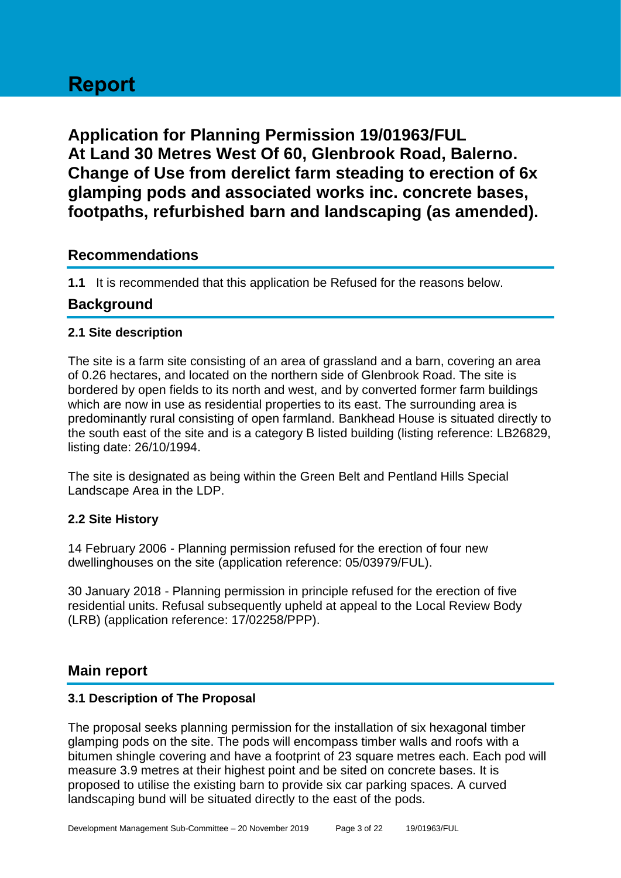# **Report**

**Application for Planning Permission 19/01963/FUL At Land 30 Metres West Of 60, Glenbrook Road, Balerno. Change of Use from derelict farm steading to erection of 6x glamping pods and associated works inc. concrete bases, footpaths, refurbished barn and landscaping (as amended).**

# **Recommendations**

**1.1** It is recommended that this application be Refused for the reasons below.

# **Background**

#### **2.1 Site description**

The site is a farm site consisting of an area of grassland and a barn, covering an area of 0.26 hectares, and located on the northern side of Glenbrook Road. The site is bordered by open fields to its north and west, and by converted former farm buildings which are now in use as residential properties to its east. The surrounding area is predominantly rural consisting of open farmland. Bankhead House is situated directly to the south east of the site and is a category B listed building (listing reference: LB26829, listing date: 26/10/1994.

The site is designated as being within the Green Belt and Pentland Hills Special Landscape Area in the LDP.

#### **2.2 Site History**

14 February 2006 - Planning permission refused for the erection of four new dwellinghouses on the site (application reference: 05/03979/FUL).

30 January 2018 - Planning permission in principle refused for the erection of five residential units. Refusal subsequently upheld at appeal to the Local Review Body (LRB) (application reference: 17/02258/PPP).

# **Main report**

#### **3.1 Description of The Proposal**

The proposal seeks planning permission for the installation of six hexagonal timber glamping pods on the site. The pods will encompass timber walls and roofs with a bitumen shingle covering and have a footprint of 23 square metres each. Each pod will measure 3.9 metres at their highest point and be sited on concrete bases. It is proposed to utilise the existing barn to provide six car parking spaces. A curved landscaping bund will be situated directly to the east of the pods.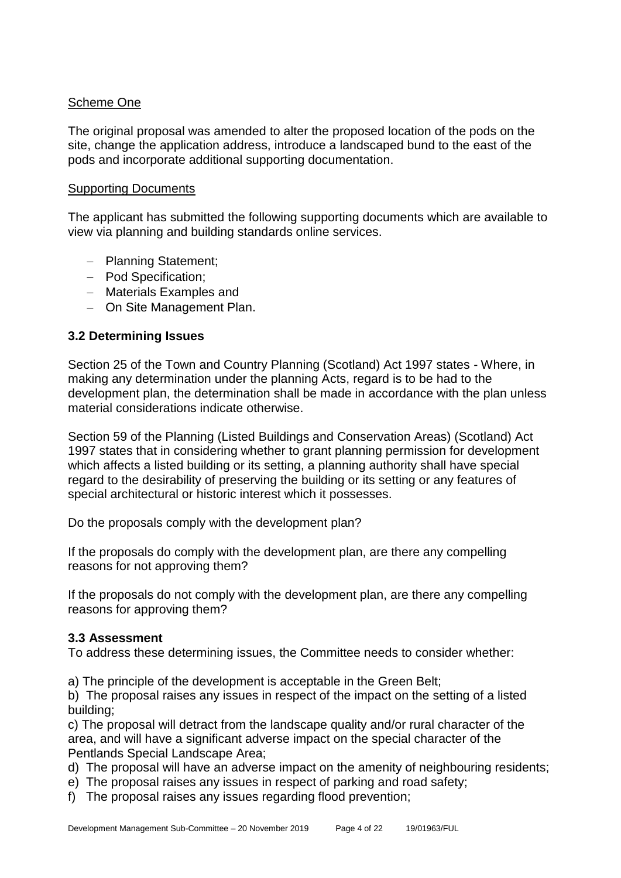#### Scheme One

The original proposal was amended to alter the proposed location of the pods on the site, change the application address, introduce a landscaped bund to the east of the pods and incorporate additional supporting documentation.

#### Supporting Documents

The applicant has submitted the following supporting documents which are available to view via planning and building standards online services.

- − Planning Statement;
- − Pod Specification;
- − Materials Examples and
- − On Site Management Plan.

#### **3.2 Determining Issues**

Section 25 of the Town and Country Planning (Scotland) Act 1997 states - Where, in making any determination under the planning Acts, regard is to be had to the development plan, the determination shall be made in accordance with the plan unless material considerations indicate otherwise.

Section 59 of the Planning (Listed Buildings and Conservation Areas) (Scotland) Act 1997 states that in considering whether to grant planning permission for development which affects a listed building or its setting, a planning authority shall have special regard to the desirability of preserving the building or its setting or any features of special architectural or historic interest which it possesses.

Do the proposals comply with the development plan?

If the proposals do comply with the development plan, are there any compelling reasons for not approving them?

If the proposals do not comply with the development plan, are there any compelling reasons for approving them?

#### **3.3 Assessment**

To address these determining issues, the Committee needs to consider whether:

a) The principle of the development is acceptable in the Green Belt;

b) The proposal raises any issues in respect of the impact on the setting of a listed building;

c) The proposal will detract from the landscape quality and/or rural character of the area, and will have a significant adverse impact on the special character of the Pentlands Special Landscape Area;

d) The proposal will have an adverse impact on the amenity of neighbouring residents;

e) The proposal raises any issues in respect of parking and road safety;

f) The proposal raises any issues regarding flood prevention;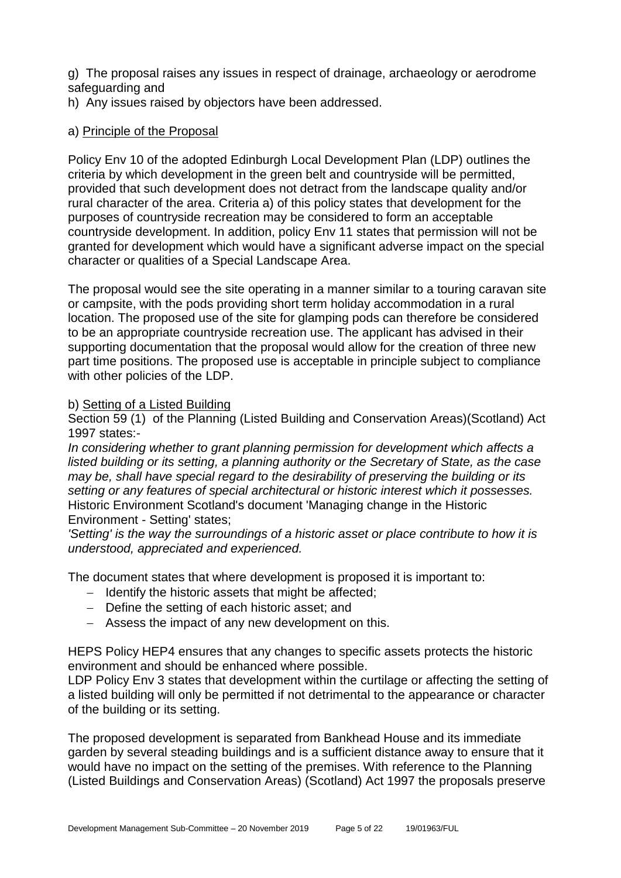g) The proposal raises any issues in respect of drainage, archaeology or aerodrome safeguarding and

h) Any issues raised by objectors have been addressed.

#### a) Principle of the Proposal

Policy Env 10 of the adopted Edinburgh Local Development Plan (LDP) outlines the criteria by which development in the green belt and countryside will be permitted, provided that such development does not detract from the landscape quality and/or rural character of the area. Criteria a) of this policy states that development for the purposes of countryside recreation may be considered to form an acceptable countryside development. In addition, policy Env 11 states that permission will not be granted for development which would have a significant adverse impact on the special character or qualities of a Special Landscape Area.

The proposal would see the site operating in a manner similar to a touring caravan site or campsite, with the pods providing short term holiday accommodation in a rural location. The proposed use of the site for glamping pods can therefore be considered to be an appropriate countryside recreation use. The applicant has advised in their supporting documentation that the proposal would allow for the creation of three new part time positions. The proposed use is acceptable in principle subject to compliance with other policies of the LDP.

#### b) Setting of a Listed Building

Section 59 (1) of the Planning (Listed Building and Conservation Areas)(Scotland) Act 1997 states:-

*In considering whether to grant planning permission for development which affects a listed building or its setting, a planning authority or the Secretary of State, as the case may be, shall have special regard to the desirability of preserving the building or its setting or any features of special architectural or historic interest which it possesses.* Historic Environment Scotland's document 'Managing change in the Historic Environment - Setting' states;

*'Setting' is the way the surroundings of a historic asset or place contribute to how it is understood, appreciated and experienced.*

The document states that where development is proposed it is important to:

- − Identify the historic assets that might be affected;
- − Define the setting of each historic asset; and
- − Assess the impact of any new development on this.

HEPS Policy HEP4 ensures that any changes to specific assets protects the historic environment and should be enhanced where possible.

LDP Policy Env 3 states that development within the curtilage or affecting the setting of a listed building will only be permitted if not detrimental to the appearance or character of the building or its setting.

The proposed development is separated from Bankhead House and its immediate garden by several steading buildings and is a sufficient distance away to ensure that it would have no impact on the setting of the premises. With reference to the Planning (Listed Buildings and Conservation Areas) (Scotland) Act 1997 the proposals preserve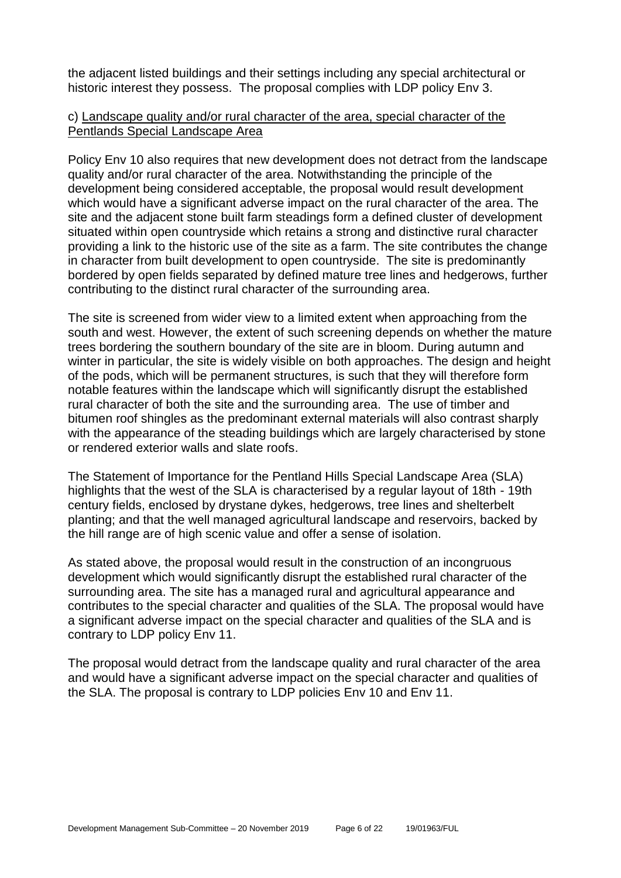the adjacent listed buildings and their settings including any special architectural or historic interest they possess. The proposal complies with LDP policy Env 3.

#### c) Landscape quality and/or rural character of the area, special character of the Pentlands Special Landscape Area

Policy Env 10 also requires that new development does not detract from the landscape quality and/or rural character of the area. Notwithstanding the principle of the development being considered acceptable, the proposal would result development which would have a significant adverse impact on the rural character of the area. The site and the adjacent stone built farm steadings form a defined cluster of development situated within open countryside which retains a strong and distinctive rural character providing a link to the historic use of the site as a farm. The site contributes the change in character from built development to open countryside. The site is predominantly bordered by open fields separated by defined mature tree lines and hedgerows, further contributing to the distinct rural character of the surrounding area.

The site is screened from wider view to a limited extent when approaching from the south and west. However, the extent of such screening depends on whether the mature trees bordering the southern boundary of the site are in bloom. During autumn and winter in particular, the site is widely visible on both approaches. The design and height of the pods, which will be permanent structures, is such that they will therefore form notable features within the landscape which will significantly disrupt the established rural character of both the site and the surrounding area. The use of timber and bitumen roof shingles as the predominant external materials will also contrast sharply with the appearance of the steading buildings which are largely characterised by stone or rendered exterior walls and slate roofs.

The Statement of Importance for the Pentland Hills Special Landscape Area (SLA) highlights that the west of the SLA is characterised by a regular layout of 18th - 19th century fields, enclosed by drystane dykes, hedgerows, tree lines and shelterbelt planting; and that the well managed agricultural landscape and reservoirs, backed by the hill range are of high scenic value and offer a sense of isolation.

As stated above, the proposal would result in the construction of an incongruous development which would significantly disrupt the established rural character of the surrounding area. The site has a managed rural and agricultural appearance and contributes to the special character and qualities of the SLA. The proposal would have a significant adverse impact on the special character and qualities of the SLA and is contrary to LDP policy Env 11.

The proposal would detract from the landscape quality and rural character of the area and would have a significant adverse impact on the special character and qualities of the SLA. The proposal is contrary to LDP policies Env 10 and Env 11.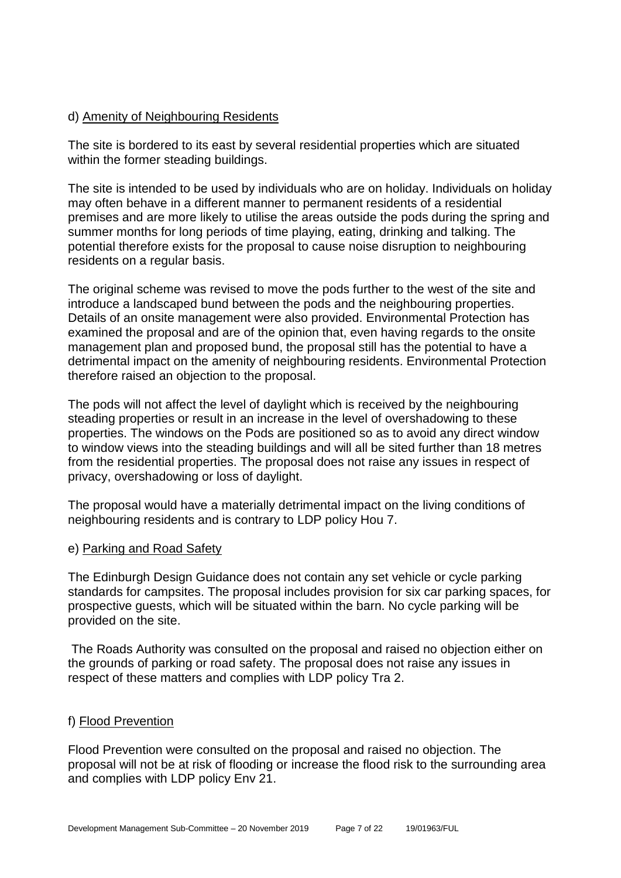#### d) Amenity of Neighbouring Residents

The site is bordered to its east by several residential properties which are situated within the former steading buildings.

The site is intended to be used by individuals who are on holiday. Individuals on holiday may often behave in a different manner to permanent residents of a residential premises and are more likely to utilise the areas outside the pods during the spring and summer months for long periods of time playing, eating, drinking and talking. The potential therefore exists for the proposal to cause noise disruption to neighbouring residents on a regular basis.

The original scheme was revised to move the pods further to the west of the site and introduce a landscaped bund between the pods and the neighbouring properties. Details of an onsite management were also provided. Environmental Protection has examined the proposal and are of the opinion that, even having regards to the onsite management plan and proposed bund, the proposal still has the potential to have a detrimental impact on the amenity of neighbouring residents. Environmental Protection therefore raised an objection to the proposal.

The pods will not affect the level of daylight which is received by the neighbouring steading properties or result in an increase in the level of overshadowing to these properties. The windows on the Pods are positioned so as to avoid any direct window to window views into the steading buildings and will all be sited further than 18 metres from the residential properties. The proposal does not raise any issues in respect of privacy, overshadowing or loss of daylight.

The proposal would have a materially detrimental impact on the living conditions of neighbouring residents and is contrary to LDP policy Hou 7.

#### e) Parking and Road Safety

The Edinburgh Design Guidance does not contain any set vehicle or cycle parking standards for campsites. The proposal includes provision for six car parking spaces, for prospective guests, which will be situated within the barn. No cycle parking will be provided on the site.

The Roads Authority was consulted on the proposal and raised no objection either on the grounds of parking or road safety. The proposal does not raise any issues in respect of these matters and complies with LDP policy Tra 2.

#### f) Flood Prevention

Flood Prevention were consulted on the proposal and raised no objection. The proposal will not be at risk of flooding or increase the flood risk to the surrounding area and complies with LDP policy Env 21.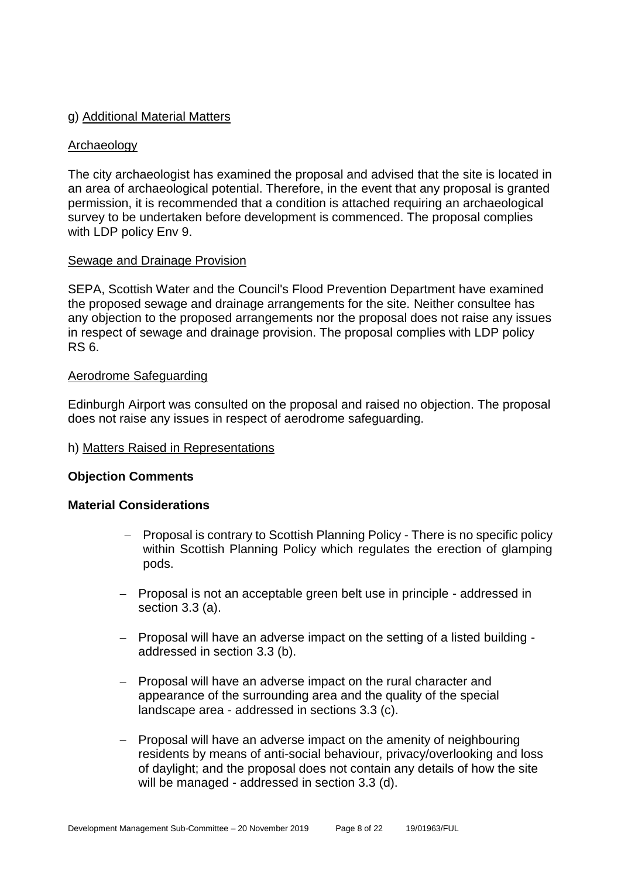#### g) Additional Material Matters

#### Archaeology

The city archaeologist has examined the proposal and advised that the site is located in an area of archaeological potential. Therefore, in the event that any proposal is granted permission, it is recommended that a condition is attached requiring an archaeological survey to be undertaken before development is commenced. The proposal complies with LDP policy Env 9.

#### Sewage and Drainage Provision

SEPA, Scottish Water and the Council's Flood Prevention Department have examined the proposed sewage and drainage arrangements for the site. Neither consultee has any objection to the proposed arrangements nor the proposal does not raise any issues in respect of sewage and drainage provision. The proposal complies with LDP policy RS 6.

#### Aerodrome Safeguarding

Edinburgh Airport was consulted on the proposal and raised no objection. The proposal does not raise any issues in respect of aerodrome safeguarding.

#### h) Matters Raised in Representations

#### **Objection Comments**

#### **Material Considerations**

- − Proposal is contrary to Scottish Planning Policy There is no specific policy within Scottish Planning Policy which regulates the erection of glamping pods.
- − Proposal is not an acceptable green belt use in principle addressed in section 3.3 (a).
- − Proposal will have an adverse impact on the setting of a listed building addressed in section 3.3 (b).
- − Proposal will have an adverse impact on the rural character and appearance of the surrounding area and the quality of the special landscape area - addressed in sections 3.3 (c).
- − Proposal will have an adverse impact on the amenity of neighbouring residents by means of anti-social behaviour, privacy/overlooking and loss of daylight; and the proposal does not contain any details of how the site will be managed - addressed in section 3.3 (d).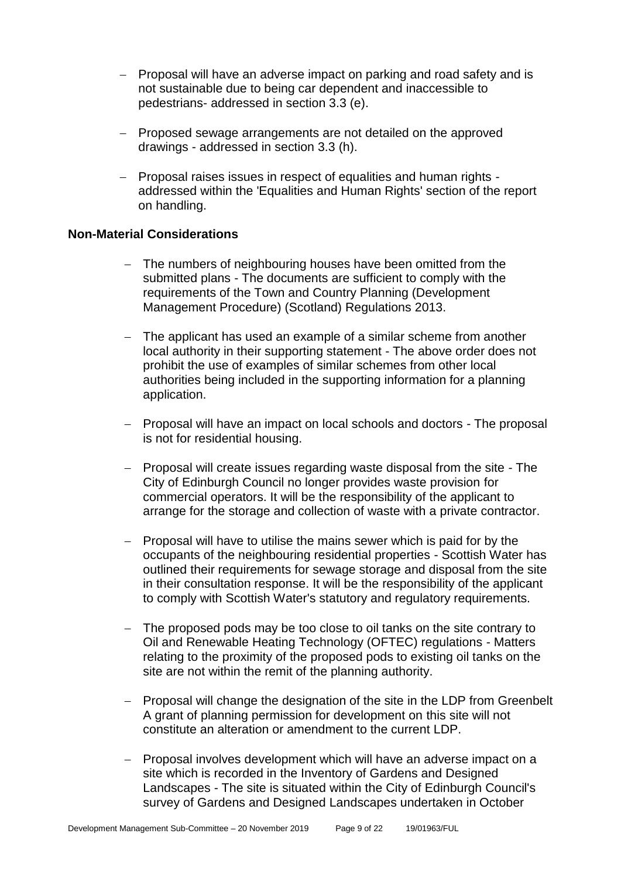- − Proposal will have an adverse impact on parking and road safety and is not sustainable due to being car dependent and inaccessible to pedestrians- addressed in section 3.3 (e).
- − Proposed sewage arrangements are not detailed on the approved drawings - addressed in section 3.3 (h).
- − Proposal raises issues in respect of equalities and human rights addressed within the 'Equalities and Human Rights' section of the report on handling.

#### **Non-Material Considerations**

- − The numbers of neighbouring houses have been omitted from the submitted plans - The documents are sufficient to comply with the requirements of the Town and Country Planning (Development Management Procedure) (Scotland) Regulations 2013.
- − The applicant has used an example of a similar scheme from another local authority in their supporting statement - The above order does not prohibit the use of examples of similar schemes from other local authorities being included in the supporting information for a planning application.
- − Proposal will have an impact on local schools and doctors The proposal is not for residential housing.
- − Proposal will create issues regarding waste disposal from the site The City of Edinburgh Council no longer provides waste provision for commercial operators. It will be the responsibility of the applicant to arrange for the storage and collection of waste with a private contractor.
- − Proposal will have to utilise the mains sewer which is paid for by the occupants of the neighbouring residential properties - Scottish Water has outlined their requirements for sewage storage and disposal from the site in their consultation response. It will be the responsibility of the applicant to comply with Scottish Water's statutory and regulatory requirements.
- − The proposed pods may be too close to oil tanks on the site contrary to Oil and Renewable Heating Technology (OFTEC) regulations - Matters relating to the proximity of the proposed pods to existing oil tanks on the site are not within the remit of the planning authority.
- − Proposal will change the designation of the site in the LDP from Greenbelt A grant of planning permission for development on this site will not constitute an alteration or amendment to the current LDP.
- − Proposal involves development which will have an adverse impact on a site which is recorded in the Inventory of Gardens and Designed Landscapes - The site is situated within the City of Edinburgh Council's survey of Gardens and Designed Landscapes undertaken in October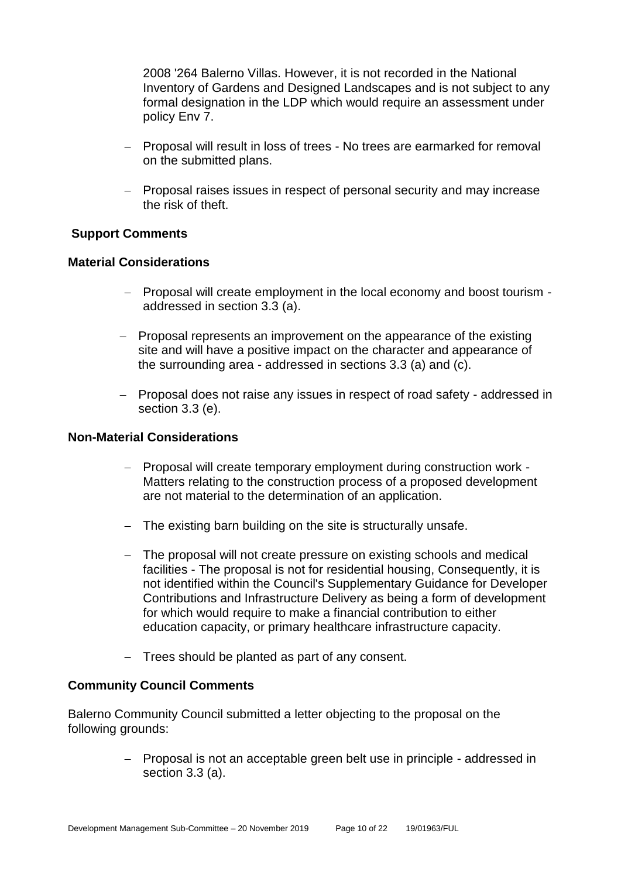2008 '264 Balerno Villas. However, it is not recorded in the National Inventory of Gardens and Designed Landscapes and is not subject to any formal designation in the LDP which would require an assessment under policy Env 7.

- − Proposal will result in loss of trees No trees are earmarked for removal on the submitted plans.
- − Proposal raises issues in respect of personal security and may increase the risk of theft.

#### **Support Comments**

#### **Material Considerations**

- − Proposal will create employment in the local economy and boost tourism addressed in section 3.3 (a).
- − Proposal represents an improvement on the appearance of the existing site and will have a positive impact on the character and appearance of the surrounding area - addressed in sections 3.3 (a) and (c).
- − Proposal does not raise any issues in respect of road safety addressed in section 3.3 (e).

#### **Non-Material Considerations**

- − Proposal will create temporary employment during construction work Matters relating to the construction process of a proposed development are not material to the determination of an application.
- − The existing barn building on the site is structurally unsafe.
- − The proposal will not create pressure on existing schools and medical facilities - The proposal is not for residential housing, Consequently, it is not identified within the Council's Supplementary Guidance for Developer Contributions and Infrastructure Delivery as being a form of development for which would require to make a financial contribution to either education capacity, or primary healthcare infrastructure capacity.
- − Trees should be planted as part of any consent.

#### **Community Council Comments**

Balerno Community Council submitted a letter objecting to the proposal on the following grounds:

> − Proposal is not an acceptable green belt use in principle - addressed in section 3.3 (a).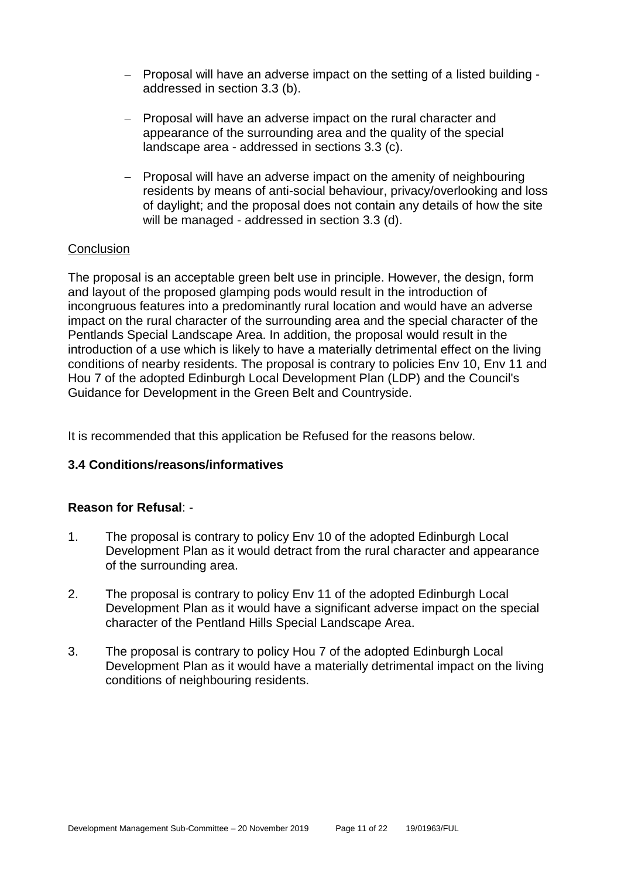- − Proposal will have an adverse impact on the setting of a listed building addressed in section 3.3 (b).
- − Proposal will have an adverse impact on the rural character and appearance of the surrounding area and the quality of the special landscape area - addressed in sections 3.3 (c).
- − Proposal will have an adverse impact on the amenity of neighbouring residents by means of anti-social behaviour, privacy/overlooking and loss of daylight; and the proposal does not contain any details of how the site will be managed - addressed in section 3.3 (d).

#### **Conclusion**

The proposal is an acceptable green belt use in principle. However, the design, form and layout of the proposed glamping pods would result in the introduction of incongruous features into a predominantly rural location and would have an adverse impact on the rural character of the surrounding area and the special character of the Pentlands Special Landscape Area. In addition, the proposal would result in the introduction of a use which is likely to have a materially detrimental effect on the living conditions of nearby residents. The proposal is contrary to policies Env 10, Env 11 and Hou 7 of the adopted Edinburgh Local Development Plan (LDP) and the Council's Guidance for Development in the Green Belt and Countryside.

It is recommended that this application be Refused for the reasons below.

#### **3.4 Conditions/reasons/informatives**

#### **Reason for Refusal**: -

- 1. The proposal is contrary to policy Env 10 of the adopted Edinburgh Local Development Plan as it would detract from the rural character and appearance of the surrounding area.
- 2. The proposal is contrary to policy Env 11 of the adopted Edinburgh Local Development Plan as it would have a significant adverse impact on the special character of the Pentland Hills Special Landscape Area.
- 3. The proposal is contrary to policy Hou 7 of the adopted Edinburgh Local Development Plan as it would have a materially detrimental impact on the living conditions of neighbouring residents.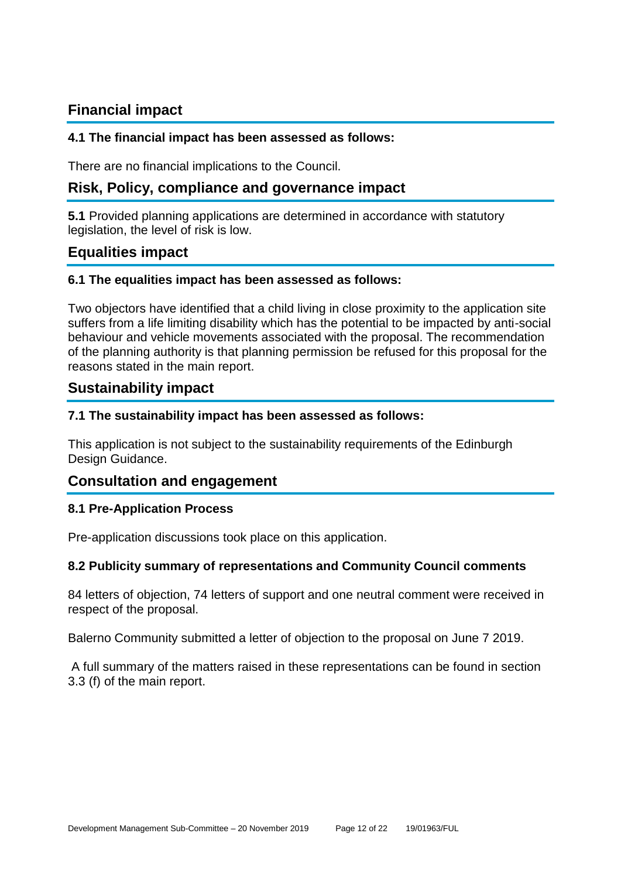# **Financial impact**

#### **4.1 The financial impact has been assessed as follows:**

There are no financial implications to the Council.

# **Risk, Policy, compliance and governance impact**

**5.1** Provided planning applications are determined in accordance with statutory legislation, the level of risk is low.

# **Equalities impact**

#### **6.1 The equalities impact has been assessed as follows:**

Two objectors have identified that a child living in close proximity to the application site suffers from a life limiting disability which has the potential to be impacted by anti-social behaviour and vehicle movements associated with the proposal. The recommendation of the planning authority is that planning permission be refused for this proposal for the reasons stated in the main report.

# **Sustainability impact**

#### **7.1 The sustainability impact has been assessed as follows:**

This application is not subject to the sustainability requirements of the Edinburgh Design Guidance.

# **Consultation and engagement**

#### **8.1 Pre-Application Process**

Pre-application discussions took place on this application.

#### **8.2 Publicity summary of representations and Community Council comments**

84 letters of objection, 74 letters of support and one neutral comment were received in respect of the proposal.

Balerno Community submitted a letter of objection to the proposal on June 7 2019.

A full summary of the matters raised in these representations can be found in section 3.3 (f) of the main report.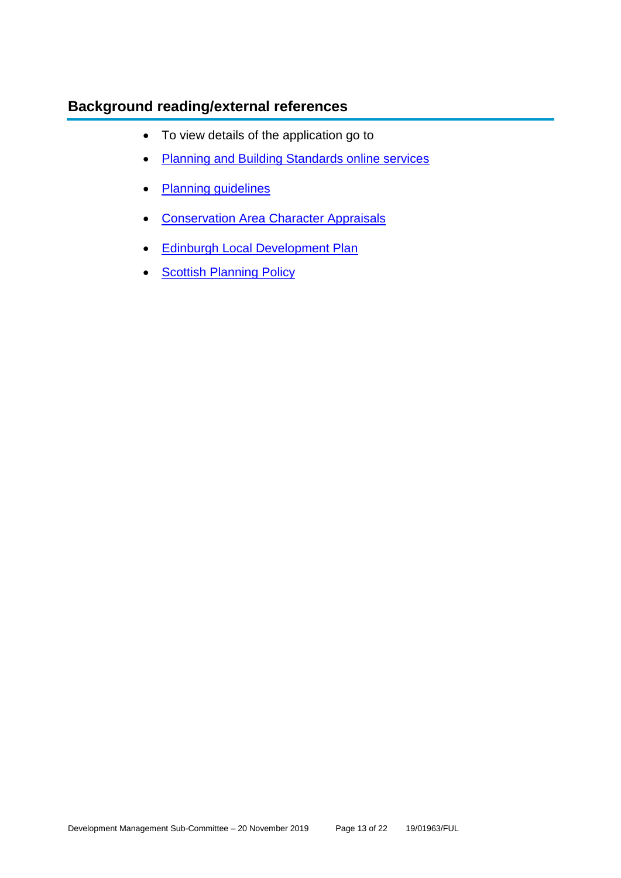# **Background reading/external references**

- To view details of the application go to
- [Planning and Building Standards online services](https://citydev-portal.edinburgh.gov.uk/idoxpa-web/search.do?action=simple&searchType=Application)
- [Planning guidelines](http://www.edinburgh.gov.uk/planningguidelines)
- [Conservation Area Character Appraisals](http://www.edinburgh.gov.uk/characterappraisals)
- [Edinburgh Local Development Plan](http://www.edinburgh.gov.uk/localdevelopmentplan)
- **[Scottish Planning Policy](http://www.scotland.gov.uk/Topics/Built-Environment/planning/Policy)**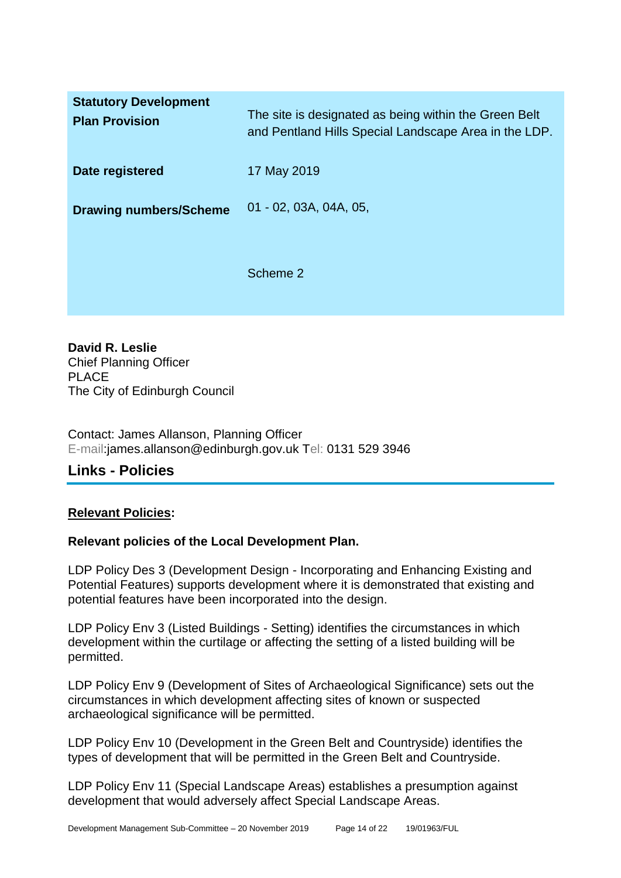| <b>Statutory Development</b><br><b>Plan Provision</b> | The site is designated as being within the Green Belt<br>and Pentland Hills Special Landscape Area in the LDP. |
|-------------------------------------------------------|----------------------------------------------------------------------------------------------------------------|
| Date registered                                       | 17 May 2019                                                                                                    |
| <b>Drawing numbers/Scheme</b>                         | $01 - 02, 03A, 04A, 05,$                                                                                       |
|                                                       | Scheme 2                                                                                                       |

**David R. Leslie** Chief Planning Officer PLACE The City of Edinburgh Council

Contact: James Allanson, Planning Officer E-mail:james.allanson@edinburgh.gov.uk Tel: 0131 529 3946

# **Links - Policies**

#### **Relevant Policies:**

#### **Relevant policies of the Local Development Plan.**

LDP Policy Des 3 (Development Design - Incorporating and Enhancing Existing and Potential Features) supports development where it is demonstrated that existing and potential features have been incorporated into the design.

LDP Policy Env 3 (Listed Buildings - Setting) identifies the circumstances in which development within the curtilage or affecting the setting of a listed building will be permitted.

LDP Policy Env 9 (Development of Sites of Archaeological Significance) sets out the circumstances in which development affecting sites of known or suspected archaeological significance will be permitted.

LDP Policy Env 10 (Development in the Green Belt and Countryside) identifies the types of development that will be permitted in the Green Belt and Countryside.

LDP Policy Env 11 (Special Landscape Areas) establishes a presumption against development that would adversely affect Special Landscape Areas.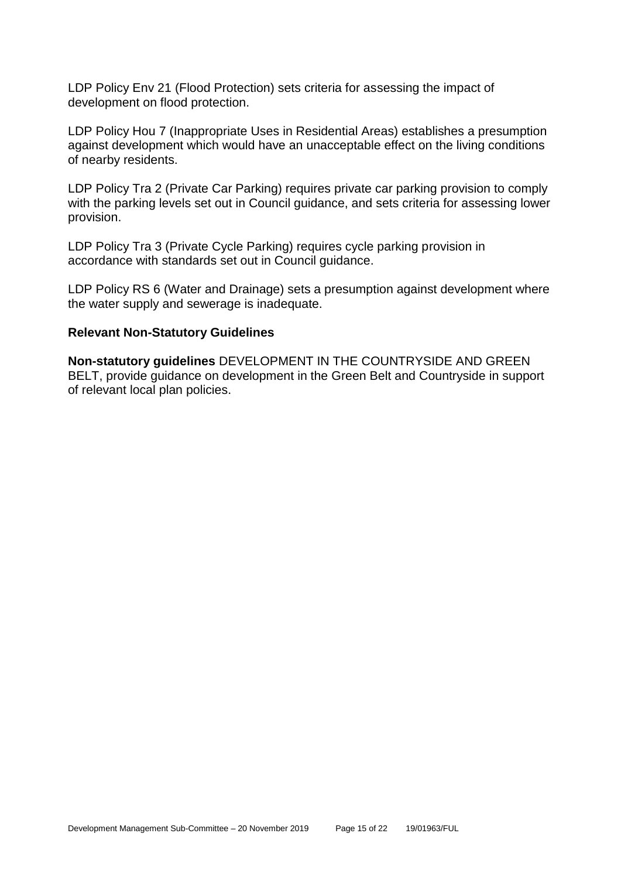LDP Policy Env 21 (Flood Protection) sets criteria for assessing the impact of development on flood protection.

LDP Policy Hou 7 (Inappropriate Uses in Residential Areas) establishes a presumption against development which would have an unacceptable effect on the living conditions of nearby residents.

LDP Policy Tra 2 (Private Car Parking) requires private car parking provision to comply with the parking levels set out in Council guidance, and sets criteria for assessing lower provision.

LDP Policy Tra 3 (Private Cycle Parking) requires cycle parking provision in accordance with standards set out in Council guidance.

LDP Policy RS 6 (Water and Drainage) sets a presumption against development where the water supply and sewerage is inadequate.

#### **Relevant Non-Statutory Guidelines**

**Non-statutory guidelines** DEVELOPMENT IN THE COUNTRYSIDE AND GREEN BELT, provide guidance on development in the Green Belt and Countryside in support of relevant local plan policies.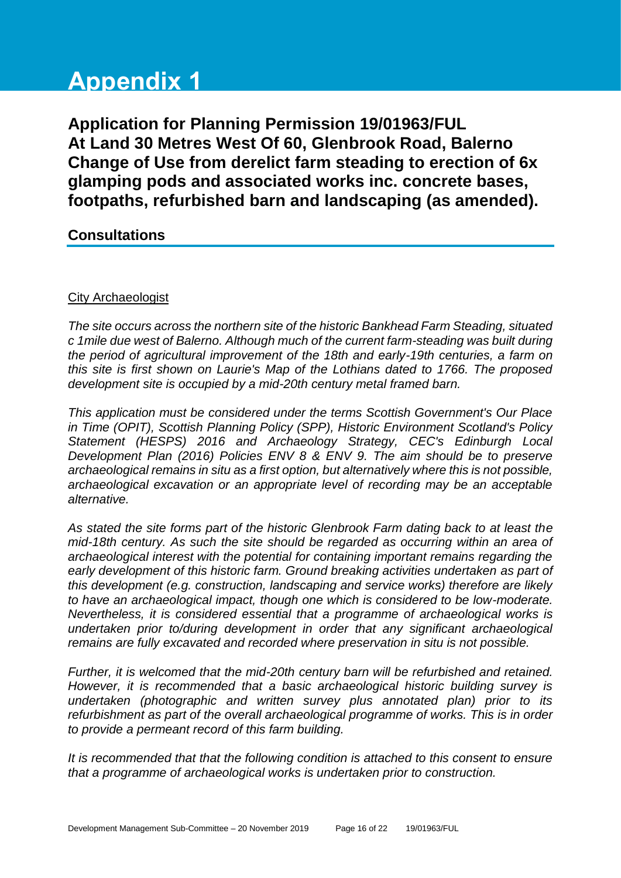# **Appendix 1**

**Application for Planning Permission 19/01963/FUL At Land 30 Metres West Of 60, Glenbrook Road, Balerno Change of Use from derelict farm steading to erection of 6x glamping pods and associated works inc. concrete bases, footpaths, refurbished barn and landscaping (as amended).**

# **Consultations**

#### City Archaeologist

*The site occurs across the northern site of the historic Bankhead Farm Steading, situated c 1mile due west of Balerno. Although much of the current farm-steading was built during the period of agricultural improvement of the 18th and early-19th centuries, a farm on this site is first shown on Laurie's Map of the Lothians dated to 1766. The proposed development site is occupied by a mid-20th century metal framed barn.* 

*This application must be considered under the terms Scottish Government's Our Place in Time (OPIT), Scottish Planning Policy (SPP), Historic Environment Scotland's Policy Statement (HESPS) 2016 and Archaeology Strategy, CEC's Edinburgh Local Development Plan (2016) Policies ENV 8 & ENV 9. The aim should be to preserve archaeological remains in situ as a first option, but alternatively where this is not possible, archaeological excavation or an appropriate level of recording may be an acceptable alternative.*

*As stated the site forms part of the historic Glenbrook Farm dating back to at least the mid-18th century. As such the site should be regarded as occurring within an area of archaeological interest with the potential for containing important remains regarding the early development of this historic farm. Ground breaking activities undertaken as part of this development (e.g. construction, landscaping and service works) therefore are likely to have an archaeological impact, though one which is considered to be low-moderate. Nevertheless, it is considered essential that a programme of archaeological works is undertaken prior to/during development in order that any significant archaeological remains are fully excavated and recorded where preservation in situ is not possible.* 

*Further, it is welcomed that the mid-20th century barn will be refurbished and retained. However, it is recommended that a basic archaeological historic building survey is undertaken (photographic and written survey plus annotated plan) prior to its refurbishment as part of the overall archaeological programme of works. This is in order to provide a permeant record of this farm building.* 

*It is recommended that that the following condition is attached to this consent to ensure that a programme of archaeological works is undertaken prior to construction.*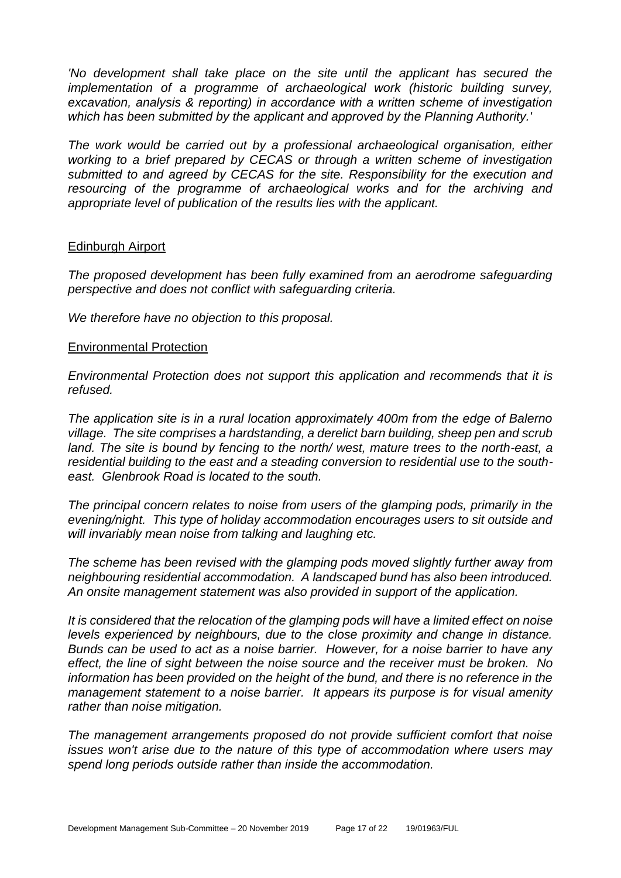*'No development shall take place on the site until the applicant has secured the implementation of a programme of archaeological work (historic building survey, excavation, analysis & reporting) in accordance with a written scheme of investigation which has been submitted by the applicant and approved by the Planning Authority.'* 

*The work would be carried out by a professional archaeological organisation, either working to a brief prepared by CECAS or through a written scheme of investigation submitted to and agreed by CECAS for the site. Responsibility for the execution and resourcing of the programme of archaeological works and for the archiving and appropriate level of publication of the results lies with the applicant.*

#### Edinburgh Airport

*The proposed development has been fully examined from an aerodrome safeguarding perspective and does not conflict with safeguarding criteria.*

*We therefore have no objection to this proposal.*

#### Environmental Protection

*Environmental Protection does not support this application and recommends that it is refused.*

*The application site is in a rural location approximately 400m from the edge of Balerno village. The site comprises a hardstanding, a derelict barn building, sheep pen and scrub land. The site is bound by fencing to the north/ west, mature trees to the north-east, a residential building to the east and a steading conversion to residential use to the southeast. Glenbrook Road is located to the south.*

*The principal concern relates to noise from users of the glamping pods, primarily in the evening/night. This type of holiday accommodation encourages users to sit outside and will invariably mean noise from talking and laughing etc.*

*The scheme has been revised with the glamping pods moved slightly further away from neighbouring residential accommodation. A landscaped bund has also been introduced. An onsite management statement was also provided in support of the application.*

*It is considered that the relocation of the glamping pods will have a limited effect on noise levels experienced by neighbours, due to the close proximity and change in distance. Bunds can be used to act as a noise barrier. However, for a noise barrier to have any effect, the line of sight between the noise source and the receiver must be broken. No information has been provided on the height of the bund, and there is no reference in the management statement to a noise barrier. It appears its purpose is for visual amenity rather than noise mitigation.*

*The management arrangements proposed do not provide sufficient comfort that noise issues won't arise due to the nature of this type of accommodation where users may spend long periods outside rather than inside the accommodation.*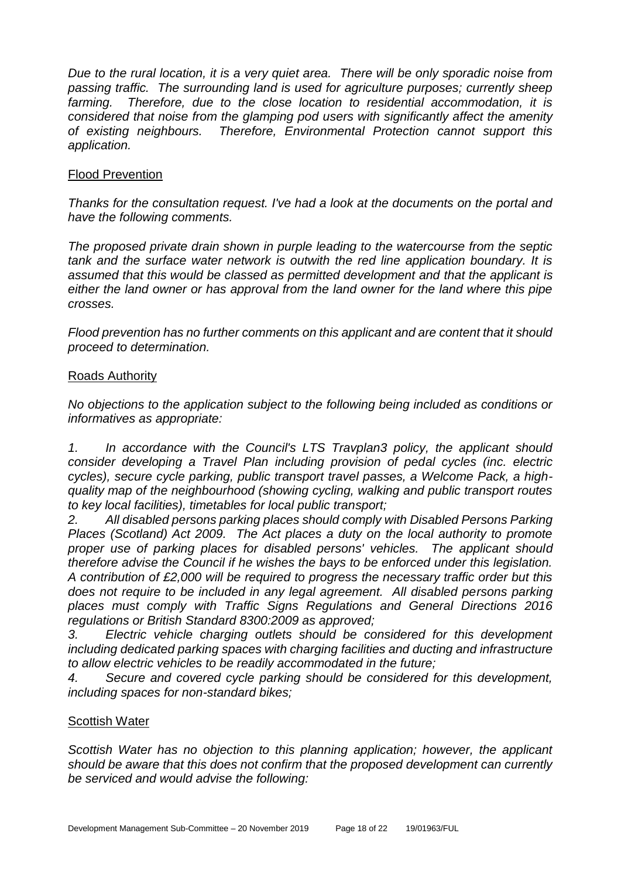*Due to the rural location, it is a very quiet area. There will be only sporadic noise from passing traffic. The surrounding land is used for agriculture purposes; currently sheep farming. Therefore, due to the close location to residential accommodation, it is considered that noise from the glamping pod users with significantly affect the amenity of existing neighbours. Therefore, Environmental Protection cannot support this application.*

#### Flood Prevention

*Thanks for the consultation request. I've had a look at the documents on the portal and have the following comments.*

*The proposed private drain shown in purple leading to the watercourse from the septic tank and the surface water network is outwith the red line application boundary. It is assumed that this would be classed as permitted development and that the applicant is either the land owner or has approval from the land owner for the land where this pipe crosses.*

*Flood prevention has no further comments on this applicant and are content that it should proceed to determination.*

#### Roads Authority

*No objections to the application subject to the following being included as conditions or informatives as appropriate:*

*1. In accordance with the Council's LTS Travplan3 policy, the applicant should consider developing a Travel Plan including provision of pedal cycles (inc. electric cycles), secure cycle parking, public transport travel passes, a Welcome Pack, a highquality map of the neighbourhood (showing cycling, walking and public transport routes to key local facilities), timetables for local public transport;*

*2. All disabled persons parking places should comply with Disabled Persons Parking Places (Scotland) Act 2009. The Act places a duty on the local authority to promote proper use of parking places for disabled persons' vehicles. The applicant should therefore advise the Council if he wishes the bays to be enforced under this legislation. A contribution of £2,000 will be required to progress the necessary traffic order but this*  does not require to be included in any legal agreement. All disabled persons parking *places must comply with Traffic Signs Regulations and General Directions 2016 regulations or British Standard 8300:2009 as approved;*

*3. Electric vehicle charging outlets should be considered for this development including dedicated parking spaces with charging facilities and ducting and infrastructure to allow electric vehicles to be readily accommodated in the future;*

*4. Secure and covered cycle parking should be considered for this development, including spaces for non-standard bikes;* 

#### Scottish Water

*Scottish Water has no objection to this planning application; however, the applicant should be aware that this does not confirm that the proposed development can currently be serviced and would advise the following:*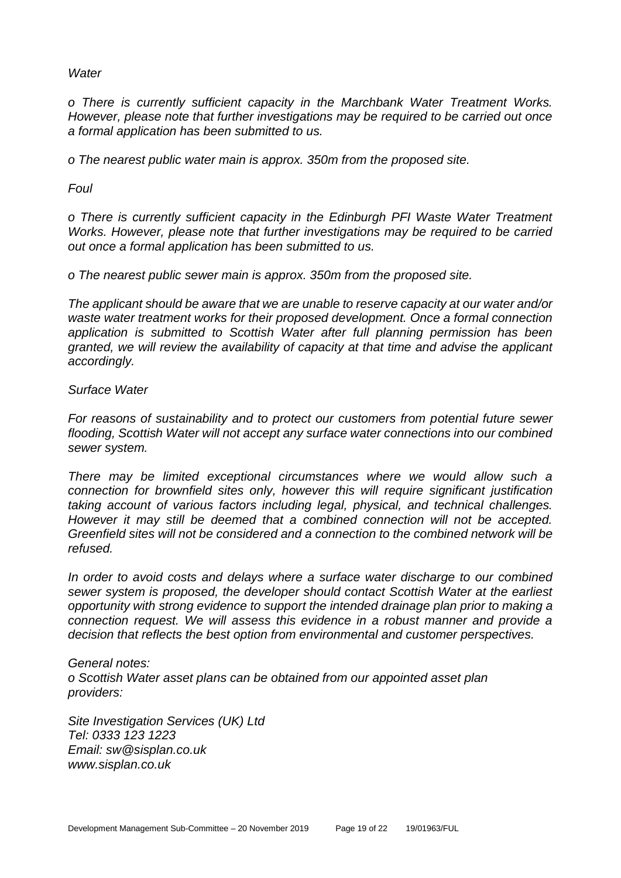*Water*

*o There is currently sufficient capacity in the Marchbank Water Treatment Works. However, please note that further investigations may be required to be carried out once a formal application has been submitted to us.*

*o The nearest public water main is approx. 350m from the proposed site.* 

*Foul*

*o There is currently sufficient capacity in the Edinburgh PFI Waste Water Treatment Works. However, please note that further investigations may be required to be carried out once a formal application has been submitted to us.*

*o The nearest public sewer main is approx. 350m from the proposed site.*

*The applicant should be aware that we are unable to reserve capacity at our water and/or waste water treatment works for their proposed development. Once a formal connection application is submitted to Scottish Water after full planning permission has been granted, we will review the availability of capacity at that time and advise the applicant accordingly.*

*Surface Water*

*For reasons of sustainability and to protect our customers from potential future sewer flooding, Scottish Water will not accept any surface water connections into our combined sewer system.*

*There may be limited exceptional circumstances where we would allow such a connection for brownfield sites only, however this will require significant justification taking account of various factors including legal, physical, and technical challenges. However it may still be deemed that a combined connection will not be accepted. Greenfield sites will not be considered and a connection to the combined network will be refused.*

*In order to avoid costs and delays where a surface water discharge to our combined sewer system is proposed, the developer should contact Scottish Water at the earliest opportunity with strong evidence to support the intended drainage plan prior to making a connection request. We will assess this evidence in a robust manner and provide a decision that reflects the best option from environmental and customer perspectives.*

*General notes: o Scottish Water asset plans can be obtained from our appointed asset plan providers:*

*Site Investigation Services (UK) Ltd Tel: 0333 123 1223 Email: sw@sisplan.co.uk www.sisplan.co.uk*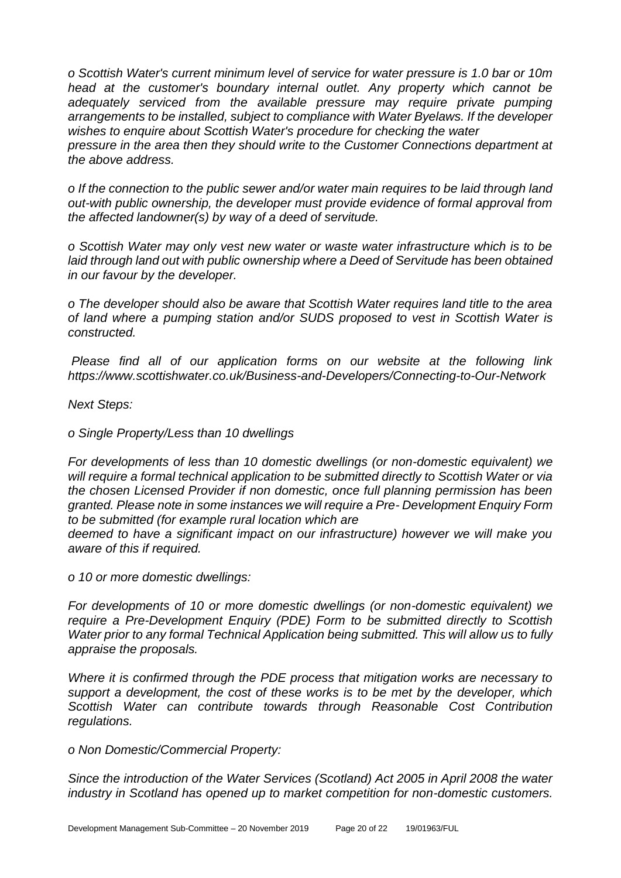*o Scottish Water's current minimum level of service for water pressure is 1.0 bar or 10m head at the customer's boundary internal outlet. Any property which cannot be adequately serviced from the available pressure may require private pumping arrangements to be installed, subject to compliance with Water Byelaws. If the developer wishes to enquire about Scottish Water's procedure for checking the water*

*pressure in the area then they should write to the Customer Connections department at the above address.*

*o If the connection to the public sewer and/or water main requires to be laid through land out-with public ownership, the developer must provide evidence of formal approval from the affected landowner(s) by way of a deed of servitude.*

*o Scottish Water may only vest new water or waste water infrastructure which is to be laid through land out with public ownership where a Deed of Servitude has been obtained in our favour by the developer.*

*o The developer should also be aware that Scottish Water requires land title to the area of land where a pumping station and/or SUDS proposed to vest in Scottish Water is constructed.*

*Please find all of our application forms on our website at the following link https://www.scottishwater.co.uk/Business-and-Developers/Connecting-to-Our-Network*

*Next Steps:*

*o Single Property/Less than 10 dwellings*

*For developments of less than 10 domestic dwellings (or non-domestic equivalent) we will require a formal technical application to be submitted directly to Scottish Water or via the chosen Licensed Provider if non domestic, once full planning permission has been granted. Please note in some instances we will require a Pre- Development Enquiry Form to be submitted (for example rural location which are*

*deemed to have a significant impact on our infrastructure) however we will make you aware of this if required.*

*o 10 or more domestic dwellings:*

*For developments of 10 or more domestic dwellings (or non-domestic equivalent) we require a Pre-Development Enquiry (PDE) Form to be submitted directly to Scottish Water prior to any formal Technical Application being submitted. This will allow us to fully appraise the proposals.*

*Where it is confirmed through the PDE process that mitigation works are necessary to support a development, the cost of these works is to be met by the developer, which Scottish Water can contribute towards through Reasonable Cost Contribution regulations.*

*o Non Domestic/Commercial Property:*

*Since the introduction of the Water Services (Scotland) Act 2005 in April 2008 the water industry in Scotland has opened up to market competition for non-domestic customers.*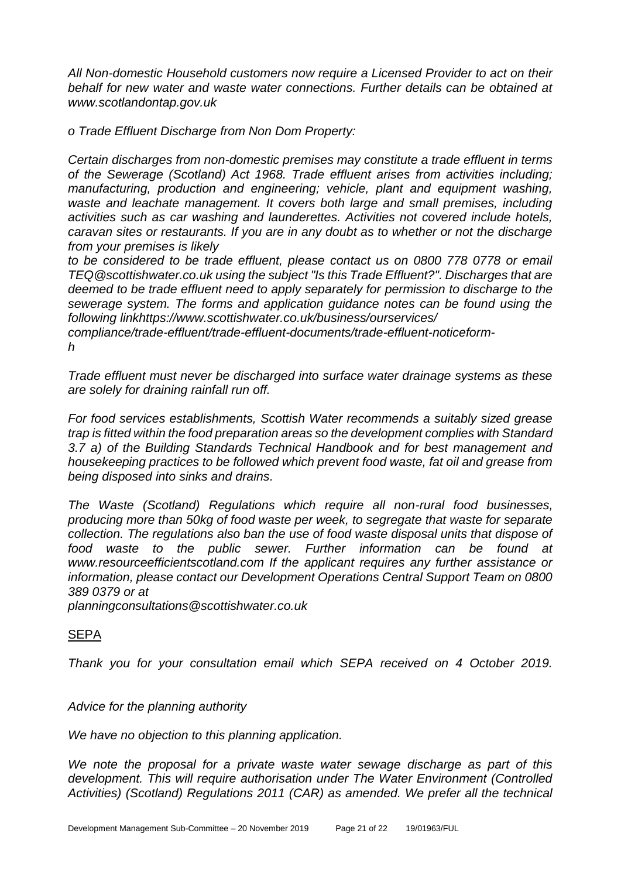*All Non-domestic Household customers now require a Licensed Provider to act on their behalf for new water and waste water connections. Further details can be obtained at www.scotlandontap.gov.uk*

*o Trade Effluent Discharge from Non Dom Property:*

*Certain discharges from non-domestic premises may constitute a trade effluent in terms of the Sewerage (Scotland) Act 1968. Trade effluent arises from activities including; manufacturing, production and engineering; vehicle, plant and equipment washing, waste and leachate management. It covers both large and small premises, including activities such as car washing and launderettes. Activities not covered include hotels, caravan sites or restaurants. If you are in any doubt as to whether or not the discharge from your premises is likely*

*to be considered to be trade effluent, please contact us on 0800 778 0778 or email TEQ@scottishwater.co.uk using the subject "Is this Trade Effluent?". Discharges that are deemed to be trade effluent need to apply separately for permission to discharge to the sewerage system. The forms and application guidance notes can be found using the following linkhttps://www.scottishwater.co.uk/business/ourservices/*

*compliance/trade-effluent/trade-effluent-documents/trade-effluent-noticeformh*

*Trade effluent must never be discharged into surface water drainage systems as these are solely for draining rainfall run off.*

*For food services establishments, Scottish Water recommends a suitably sized grease trap is fitted within the food preparation areas so the development complies with Standard 3.7 a) of the Building Standards Technical Handbook and for best management and housekeeping practices to be followed which prevent food waste, fat oil and grease from being disposed into sinks and drains.*

*The Waste (Scotland) Regulations which require all non-rural food businesses, producing more than 50kg of food waste per week, to segregate that waste for separate collection. The regulations also ban the use of food waste disposal units that dispose of food waste to the public sewer. Further information can be found at www.resourceefficientscotland.com If the applicant requires any further assistance or information, please contact our Development Operations Central Support Team on 0800 389 0379 or at*

*planningconsultations@scottishwater.co.uk*

#### **SEPA**

*Thank you for your consultation email which SEPA received on 4 October 2019.* 

*Advice for the planning authority*

*We have no objection to this planning application.* 

*We note the proposal for a private waste water sewage discharge as part of this development. This will require authorisation under The Water Environment (Controlled Activities) (Scotland) Regulations 2011 (CAR) as amended. We prefer all the technical*